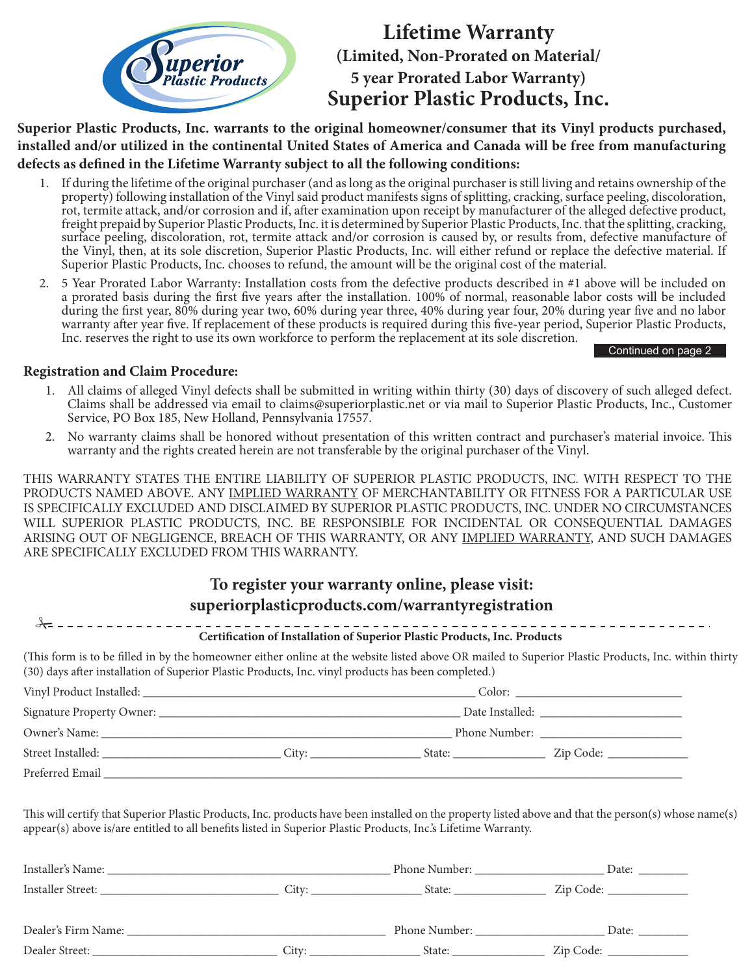

# **Lifetime Warranty (Limited, Non-Prorated on Material/ 5 year Prorated Labor Warranty) Superior Plastic Products, Inc.**

**Superior Plastic Products, Inc. warrants to the original homeowner/consumer that its Vinyl products purchased, installed and/or utilized in the continental United States of America and Canada will be free from manufacturing defects as defined in the Lifetime Warranty subject to all the following conditions:**

- 1. If during the lifetime of the original purchaser (and as long as the original purchaser is still living and retains ownership of the property) following installation of the Vinyl said product manifests signs of splitting, cracking, surface peeling, discoloration, rot, termite attack, and/or corrosion and if, after examination upon receipt by manufacturer of the alleged defective product, freight prepaid by Superior Plastic Products, Inc. it is determined by Superior Plastic Products, Inc. that the splitting, cracking, surface peeling, discoloration, rot, termite attack and/or corrosion is caused by, or results from, defective manufacture of the Vinyl, then, at its sole discretion, Superior Plastic Products, Inc. will either refund or replace the defective material. If Superior Plastic Products, Inc. chooses to refund, the amount will be the original cost of the material.
- 2. 5 Year Prorated Labor Warranty: Installation costs from the defective products described in #1 above will be included on a prorated basis during the first five years after the installation. 100% of normal, reasonable labor costs will be included during the first year, 80% during year two, 60% during year three, 40% during year four, 20% during year five and no labor warranty after year five. If replacement of these products is required during this five-year period, Superior Plastic Products, Inc. reserves the right to use its own workforce to perform the replacement at its sole discretion.

#### Continued on page 2

### **Registration and Claim Procedure:**

- 1. All claims of alleged Vinyl defects shall be submitted in writing within thirty (30) days of discovery of such alleged defect. Claims shall be addressed via email to claims@superiorplastic.net or via mail to Superior Plastic Products, Inc., Customer Service, PO Box 185, New Holland, Pennsylvania 17557.
- 2. No warranty claims shall be honored without presentation of this written contract and purchaser's material invoice. This warranty and the rights created herein are not transferable by the original purchaser of the Vinyl.

THIS WARRANTY STATES THE ENTIRE LIABILITY OF SUPERIOR PLASTIC PRODUCTS, INC. WITH RESPECT TO THE PRODUCTS NAMED ABOVE. ANY IMPLIED WARRANTY OF MERCHANTABILITY OR FITNESS FOR A PARTICULAR USE IS SPECIFICALLY EXCLUDED AND DISCLAIMED BY SUPERIOR PLASTIC PRODUCTS, INC. UNDER NO CIRCUMSTANCES WILL SUPERIOR PLASTIC PRODUCTS, INC. BE RESPONSIBLE FOR INCIDENTAL OR CONSEQUENTIAL DAMAGES ARISING OUT OF NEGLIGENCE, BREACH OF THIS WARRANTY, OR ANY IMPLIED WARRANTY, AND SUCH DAMAGES ARE SPECIFICALLY EXCLUDED FROM THIS WARRANTY.

## **To register your warranty online, please visit: superiorplasticproducts.com/warrantyregistration**

| (This form is to be filled in by the homeowner either online at the website listed above OR mailed to Superior Plastic Products, Inc. within thirty<br>(30) days after installation of Superior Plastic Products, Inc. vinyl products has been completed.) | Certification of Installation of Superior Plastic Products, Inc. Products |  |  |  |  |  |
|------------------------------------------------------------------------------------------------------------------------------------------------------------------------------------------------------------------------------------------------------------|---------------------------------------------------------------------------|--|--|--|--|--|
|                                                                                                                                                                                                                                                            |                                                                           |  |  |  |  |  |
|                                                                                                                                                                                                                                                            |                                                                           |  |  |  |  |  |
|                                                                                                                                                                                                                                                            |                                                                           |  |  |  |  |  |
|                                                                                                                                                                                                                                                            |                                                                           |  |  |  |  |  |
| Preferred Email                                                                                                                                                                                                                                            |                                                                           |  |  |  |  |  |

This will certify that Superior Plastic Products, Inc. products have been installed on the property listed above and that the person(s) whose name(s) appear(s) above is/are entitled to all benefits listed in Superior Plastic Products, Inc.'s Lifetime Warranty.

| Installer's Name:   |       | Phone Number: | Date:     |
|---------------------|-------|---------------|-----------|
| Installer Street:   | City: | State:        | Zip Code: |
| Dealer's Firm Name: |       | Phone Number: | Date:     |
| Dealer Street:      | City: | State:        | Zip Code: |